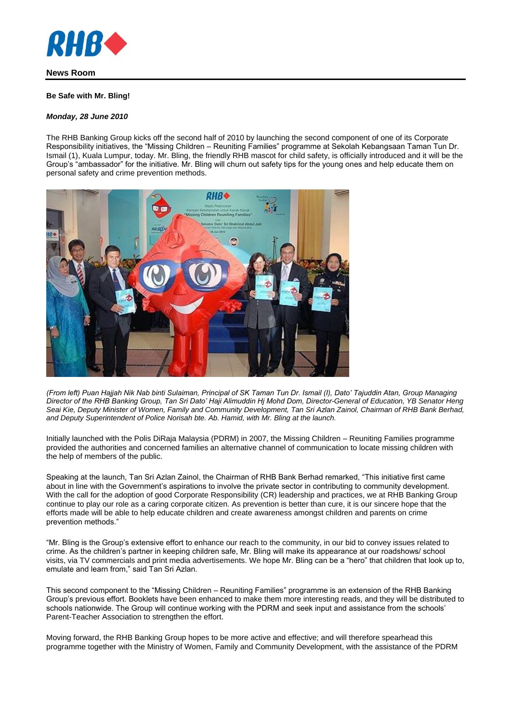

# **News Room**

### **Be Safe with Mr. Bling!**

### *Monday, 28 June 2010*

The RHB Banking Group kicks off the second half of 2010 by launching the second component of one of its Corporate Responsibility initiatives, the "Missing Children – Reuniting Families" programme at Sekolah Kebangsaan Taman Tun Dr. Ismail (1), Kuala Lumpur, today. Mr. Bling, the friendly RHB mascot for child safety, is officially introduced and it will be the Group's "ambassador" for the initiative. Mr. Bling will churn out safety tips for the young ones and help educate them on personal safety and crime prevention methods.



*(From left) Puan Hajjah Nik Nab binti Sulaiman, Principal of SK Taman Tun Dr. Ismail (I), Dato' Tajuddin Atan, Group Managing Director of the RHB Banking Group, Tan Sri Dato' Haji Alimuddin Hj Mohd Dom, Director-General of Education, YB Senator Heng Seai Kie, Deputy Minister of Women, Family and Community Development, Tan Sri Azlan Zainol, Chairman of RHB Bank Berhad, and Deputy Superintendent of Police Norisah bte. Ab. Hamid, with Mr. Bling at the launch.*

Initially launched with the Polis DiRaja Malaysia (PDRM) in 2007, the Missing Children – Reuniting Families programme provided the authorities and concerned families an alternative channel of communication to locate missing children with the help of members of the public.

Speaking at the launch, Tan Sri Azlan Zainol, the Chairman of RHB Bank Berhad remarked, "This initiative first came about in line with the Government's aspirations to involve the private sector in contributing to community development. With the call for the adoption of good Corporate Responsibility (CR) leadership and practices, we at RHB Banking Group continue to play our role as a caring corporate citizen. As prevention is better than cure, it is our sincere hope that the efforts made will be able to help educate children and create awareness amongst children and parents on crime prevention methods."

"Mr. Bling is the Group's extensive effort to enhance our reach to the community, in our bid to convey issues related to crime. As the children's partner in keeping children safe, Mr. Bling will make its appearance at our roadshows/ school visits, via TV commercials and print media advertisements. We hope Mr. Bling can be a "hero" that children that look up to, emulate and learn from," said Tan Sri Azlan.

This second component to the "Missing Children – Reuniting Families" programme is an extension of the RHB Banking Group's previous effort. Booklets have been enhanced to make them more interesting reads, and they will be distributed to schools nationwide. The Group will continue working with the PDRM and seek input and assistance from the schools' Parent-Teacher Association to strengthen the effort.

Moving forward, the RHB Banking Group hopes to be more active and effective; and will therefore spearhead this programme together with the Ministry of Women, Family and Community Development, with the assistance of the PDRM